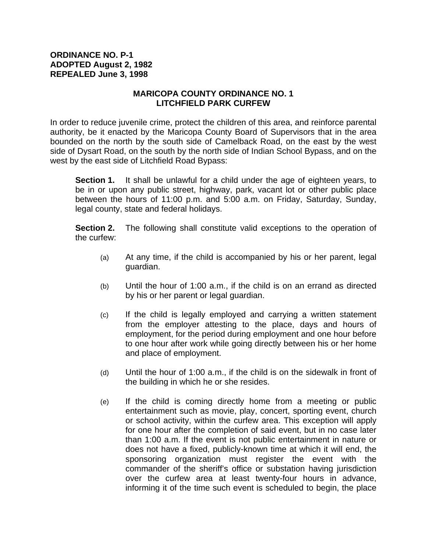## **ORDINANCE NO. P-1 ADOPTED August 2, 1982 REPEALED June 3, 1998**

## **MARICOPA COUNTY ORDINANCE NO. 1 LITCHFIELD PARK CURFEW**

In order to reduce juvenile crime, protect the children of this area, and reinforce parental authority, be it enacted by the Maricopa County Board of Supervisors that in the area bounded on the north by the south side of Camelback Road, on the east by the west side of Dysart Road, on the south by the north side of Indian School Bypass, and on the west by the east side of Litchfield Road Bypass:

**Section 1.** It shall be unlawful for a child under the age of eighteen years, to be in or upon any public street, highway, park, vacant lot or other public place between the hours of 11:00 p.m. and 5:00 a.m. on Friday, Saturday, Sunday, legal county, state and federal holidays.

**Section 2.** The following shall constitute valid exceptions to the operation of the curfew:

- (a) At any time, if the child is accompanied by his or her parent, legal guardian.
- (b) Until the hour of 1:00 a.m., if the child is on an errand as directed by his or her parent or legal guardian.
- (c) If the child is legally employed and carrying a written statement from the employer attesting to the place, days and hours of employment, for the period during employment and one hour before to one hour after work while going directly between his or her home and place of employment.
- (d) Until the hour of 1:00 a.m., if the child is on the sidewalk in front of the building in which he or she resides.
- (e) If the child is coming directly home from a meeting or public entertainment such as movie, play, concert, sporting event, church or school activity, within the curfew area. This exception will apply for one hour after the completion of said event, but in no case later than 1:00 a.m. If the event is not public entertainment in nature or does not have a fixed, publicly-known time at which it will end, the sponsoring organization must register the event with the commander of the sheriff's office or substation having jurisdiction over the curfew area at least twenty-four hours in advance, informing it of the time such event is scheduled to begin, the place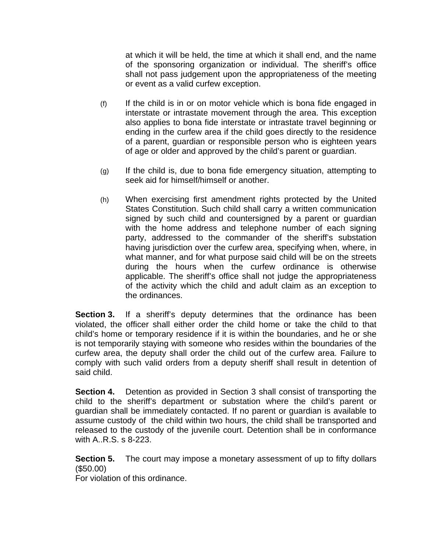at which it will be held, the time at which it shall end, and the name of the sponsoring organization or individual. The sheriff's office shall not pass judgement upon the appropriateness of the meeting or event as a valid curfew exception.

- (f) If the child is in or on motor vehicle which is bona fide engaged in interstate or intrastate movement through the area. This exception also applies to bona fide interstate or intrastate travel beginning or ending in the curfew area if the child goes directly to the residence of a parent, guardian or responsible person who is eighteen years of age or older and approved by the child's parent or guardian.
- $(q)$  If the child is, due to bona fide emergency situation, attempting to seek aid for himself/himself or another.
- (h) When exercising first amendment rights protected by the United States Constitution. Such child shall carry a written communication signed by such child and countersigned by a parent or guardian with the home address and telephone number of each signing party, addressed to the commander of the sheriff's substation having jurisdiction over the curfew area, specifying when, where, in what manner, and for what purpose said child will be on the streets during the hours when the curfew ordinance is otherwise applicable. The sheriff's office shall not judge the appropriateness of the activity which the child and adult claim as an exception to the ordinances.

**Section 3.** If a sheriff's deputy determines that the ordinance has been violated, the officer shall either order the child home or take the child to that child's home or temporary residence if it is within the boundaries, and he or she is not temporarily staying with someone who resides within the boundaries of the curfew area, the deputy shall order the child out of the curfew area. Failure to comply with such valid orders from a deputy sheriff shall result in detention of said child.

**Section 4.** Detention as provided in Section 3 shall consist of transporting the child to the sheriff's department or substation where the child's parent or guardian shall be immediately contacted. If no parent or guardian is available to assume custody of the child within two hours, the child shall be transported and released to the custody of the juvenile court. Detention shall be in conformance with A..R.S. s 8-223.

**Section 5.** The court may impose a monetary assessment of up to fifty dollars (\$50.00)

For violation of this ordinance.